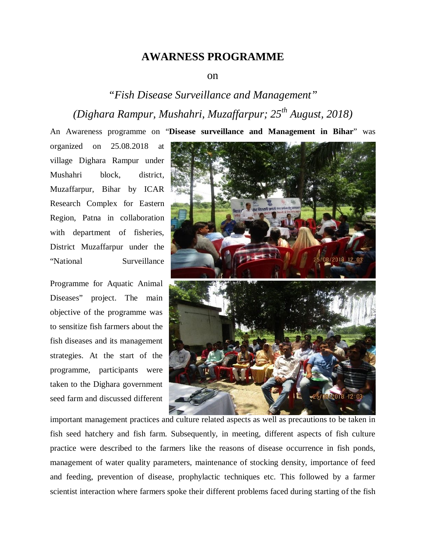## **AWARNESS PROGRAMME**

## on

## *"Fish Disease Surveillance and Management" (Dighara Rampur, Mushahri, Muzaffarpur; 25th August, 2018)*

An Awareness programme on "**Disease surveillance and Management in Bihar**" was

organized on 25.08.2018 at village Dighara Rampur under Mushahri block, district, Muzaffarpur, Bihar by ICAR Research Complex for Eastern Region, Patna in collaboration with department of fisheries, District Muzaffarpur under the "National Surveillance

Programme for Aquatic Animal Diseases" project. The main objective of the programme was to sensitize fish farmers about the fish diseases and its management strategies. At the start of the programme, participants were taken to the Dighara government seed farm and discussed different



important management practices and culture related aspects as well as precautions to be taken in fish seed hatchery and fish farm. Subsequently, in meeting, different aspects of fish culture practice were described to the farmers like the reasons of disease occurrence in fish ponds, management of water quality parameters, maintenance of stocking density, importance of feed and feeding, prevention of disease, prophylactic techniques etc. This followed by a farmer scientist interaction where farmers spoke their different problems faced during starting of the fish